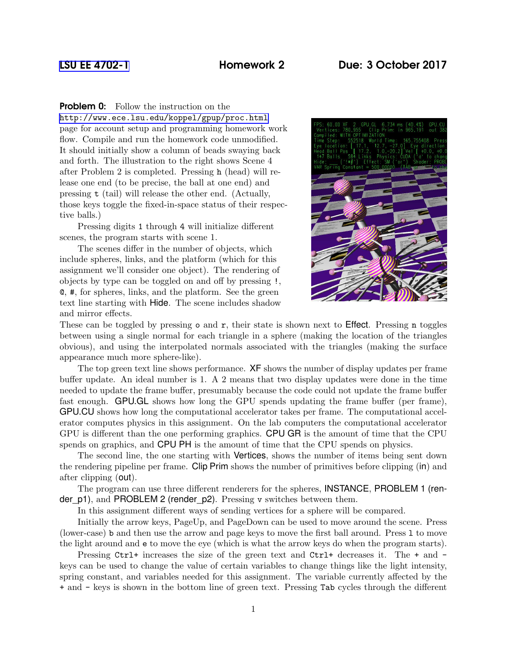## [LSU EE 4702-1](http://www.ece.lsu.edu/koppel/gpup/) Homework 2 Due: 3 October 2017

**Problem 0:** Follow the instruction on the

<http://www.ece.lsu.edu/koppel/gpup/proc.html> page for account setup and programming homework work flow. Compile and run the homework code unmodified. It should initially show a column of beads swaying back and forth. The illustration to the right shows Scene 4 after Problem 2 is completed. Pressing h (head) will release one end (to be precise, the ball at one end) and pressing t (tail) will release the other end. (Actually, those keys toggle the fixed-in-space status of their respective balls.)

Pressing digits 1 through 4 will initialize different scenes, the program starts with scene 1.

The scenes differ in the number of objects, which include spheres, links, and the platform (which for this assignment we'll consider one object). The rendering of objects by type can be toggled on and off by pressing !, @, #, for spheres, links, and the platform. See the green text line starting with Hide. The scene includes shadow and mirror effects.



These can be toggled by pressing  $\circ$  and  $\tau$ , their state is shown next to **Effect**. Pressing **n** toggles between using a single normal for each triangle in a sphere (making the location of the triangles obvious), and using the interpolated normals associated with the triangles (making the surface appearance much more sphere-like).

The top green text line shows performance. XF shows the number of display updates per frame buffer update. An ideal number is 1. A 2 means that two display updates were done in the time needed to update the frame buffer, presumably because the code could not update the frame buffer fast enough. GPU.GL shows how long the GPU spends updating the frame buffer (per frame), GPU.CU shows how long the computational accelerator takes per frame. The computational accelerator computes physics in this assignment. On the lab computers the computational accelerator GPU is different than the one performing graphics. CPU GR is the amount of time that the CPU spends on graphics, and CPU PH is the amount of time that the CPU spends on physics.

The second line, the one starting with Vertices, shows the number of items being sent down the rendering pipeline per frame. Clip Prim shows the number of primitives before clipping (in) and after clipping (out).

The program can use three different renderers for the spheres, INSTANCE, PROBLEM 1 (render\_p1), and PROBLEM 2 (render\_p2). Pressing v switches between them.

In this assignment different ways of sending vertices for a sphere will be compared.

Initially the arrow keys, PageUp, and PageDown can be used to move around the scene. Press (lower-case) b and then use the arrow and page keys to move the first ball around. Press l to move the light around and e to move the eye (which is what the arrow keys do when the program starts).

Pressing Ctrl+ increases the size of the green text and  $Ctrl+$  decreases it. The  $+$  and  $$ keys can be used to change the value of certain variables to change things like the light intensity, spring constant, and variables needed for this assignment. The variable currently affected by the + and - keys is shown in the bottom line of green text. Pressing Tab cycles through the different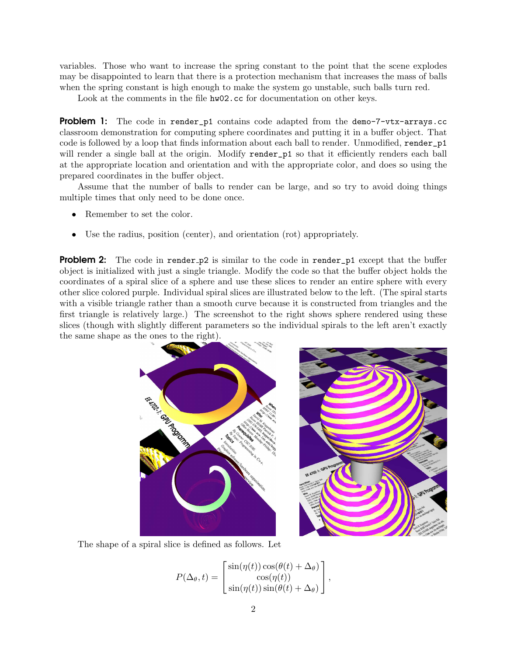variables. Those who want to increase the spring constant to the point that the scene explodes may be disappointed to learn that there is a protection mechanism that increases the mass of balls when the spring constant is high enough to make the system go unstable, such balls turn red.

Look at the comments in the file  $hw02$ .cc for documentation on other keys.

**Problem 1:** The code in render p1 contains code adapted from the demo-7-vtx-arrays.cc classroom demonstration for computing sphere coordinates and putting it in a buffer object. That code is followed by a loop that finds information about each ball to render. Unmodified, render\_p1 will render a single ball at the origin. Modify render\_p1 so that it efficiently renders each ball at the appropriate location and orientation and with the appropriate color, and does so using the prepared coordinates in the buffer object.

Assume that the number of balls to render can be large, and so try to avoid doing things multiple times that only need to be done once.

- Remember to set the color.
- Use the radius, position (center), and orientation (rot) appropriately.

**Problem 2:** The code in render p2 is similar to the code in render p1 except that the buffer object is initialized with just a single triangle. Modify the code so that the buffer object holds the coordinates of a spiral slice of a sphere and use these slices to render an entire sphere with every other slice colored purple. Individual spiral slices are illustrated below to the left. (The spiral starts with a visible triangle rather than a smooth curve because it is constructed from triangles and the first triangle is relatively large.) The screenshot to the right shows sphere rendered using these slices (though with slightly different parameters so the individual spirals to the left aren't exactly the same shape as the ones to the right).





The shape of a spiral slice is defined as follows. Let

$$
P(\Delta_{\theta}, t) = \begin{bmatrix} \sin(\eta(t)) \cos(\theta(t) + \Delta_{\theta}) \\ \cos(\eta(t)) \\ \sin(\eta(t)) \sin(\theta(t) + \Delta_{\theta}) \end{bmatrix},
$$